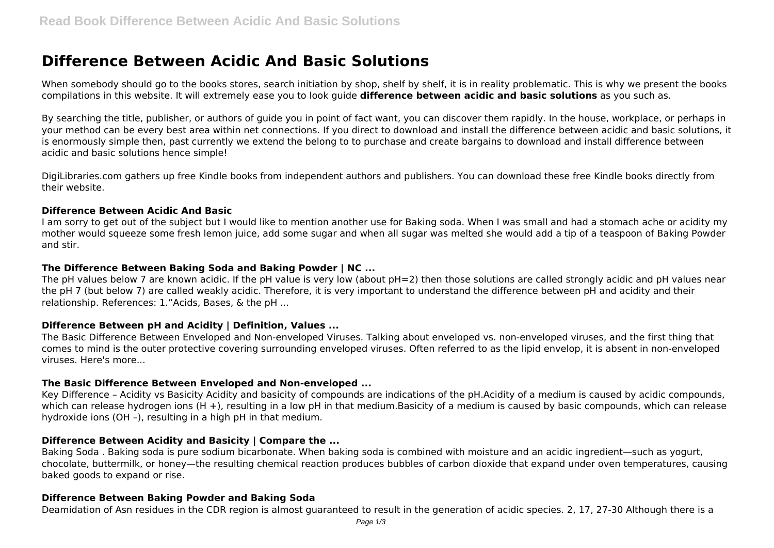# **Difference Between Acidic And Basic Solutions**

When somebody should go to the books stores, search initiation by shop, shelf by shelf, it is in reality problematic. This is why we present the books compilations in this website. It will extremely ease you to look guide **difference between acidic and basic solutions** as you such as.

By searching the title, publisher, or authors of guide you in point of fact want, you can discover them rapidly. In the house, workplace, or perhaps in your method can be every best area within net connections. If you direct to download and install the difference between acidic and basic solutions, it is enormously simple then, past currently we extend the belong to to purchase and create bargains to download and install difference between acidic and basic solutions hence simple!

DigiLibraries.com gathers up free Kindle books from independent authors and publishers. You can download these free Kindle books directly from their website.

#### **Difference Between Acidic And Basic**

I am sorry to get out of the subject but I would like to mention another use for Baking soda. When I was small and had a stomach ache or acidity my mother would squeeze some fresh lemon juice, add some sugar and when all sugar was melted she would add a tip of a teaspoon of Baking Powder and stir.

### **The Difference Between Baking Soda and Baking Powder | NC ...**

The pH values below 7 are known acidic. If the pH value is very low (about pH=2) then those solutions are called strongly acidic and pH values near the pH 7 (but below 7) are called weakly acidic. Therefore, it is very important to understand the difference between pH and acidity and their relationship. References: 1."Acids, Bases, & the pH ...

#### **Difference Between pH and Acidity | Definition, Values ...**

The Basic Difference Between Enveloped and Non-enveloped Viruses. Talking about enveloped vs. non-enveloped viruses, and the first thing that comes to mind is the outer protective covering surrounding enveloped viruses. Often referred to as the lipid envelop, it is absent in non-enveloped viruses. Here's more...

#### **The Basic Difference Between Enveloped and Non-enveloped ...**

Key Difference – Acidity vs Basicity Acidity and basicity of compounds are indications of the pH.Acidity of a medium is caused by acidic compounds, which can release hydrogen ions (H +), resulting in a low pH in that medium.Basicity of a medium is caused by basic compounds, which can release hydroxide ions (OH –), resulting in a high pH in that medium.

#### **Difference Between Acidity and Basicity | Compare the ...**

Baking Soda . Baking soda is pure sodium bicarbonate. When baking soda is combined with moisture and an acidic ingredient—such as yogurt, chocolate, buttermilk, or honey—the resulting chemical reaction produces bubbles of carbon dioxide that expand under oven temperatures, causing baked goods to expand or rise.

### **Difference Between Baking Powder and Baking Soda**

Deamidation of Asn residues in the CDR region is almost guaranteed to result in the generation of acidic species. 2, 17, 27-30 Although there is a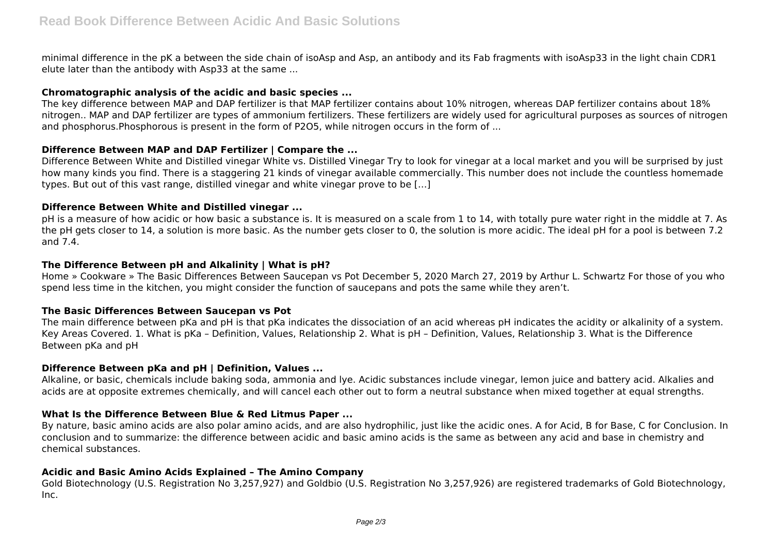minimal difference in the pK a between the side chain of isoAsp and Asp, an antibody and its Fab fragments with isoAsp33 in the light chain CDR1 elute later than the antibody with Asp33 at the same ...

### **Chromatographic analysis of the acidic and basic species ...**

The key difference between MAP and DAP fertilizer is that MAP fertilizer contains about 10% nitrogen, whereas DAP fertilizer contains about 18% nitrogen.. MAP and DAP fertilizer are types of ammonium fertilizers. These fertilizers are widely used for agricultural purposes as sources of nitrogen and phosphorus.Phosphorous is present in the form of P2O5, while nitrogen occurs in the form of ...

# **Difference Between MAP and DAP Fertilizer | Compare the ...**

Difference Between White and Distilled vinegar White vs. Distilled Vinegar Try to look for vinegar at a local market and you will be surprised by just how many kinds you find. There is a staggering 21 kinds of vinegar available commercially. This number does not include the countless homemade types. But out of this vast range, distilled vinegar and white vinegar prove to be […]

# **Difference Between White and Distilled vinegar ...**

pH is a measure of how acidic or how basic a substance is. It is measured on a scale from 1 to 14, with totally pure water right in the middle at 7. As the pH gets closer to 14, a solution is more basic. As the number gets closer to 0, the solution is more acidic. The ideal pH for a pool is between 7.2 and 7.4.

# **The Difference Between pH and Alkalinity | What is pH?**

Home » Cookware » The Basic Differences Between Saucepan vs Pot December 5, 2020 March 27, 2019 by Arthur L. Schwartz For those of you who spend less time in the kitchen, you might consider the function of saucepans and pots the same while they aren't.

#### **The Basic Differences Between Saucepan vs Pot**

The main difference between pKa and pH is that pKa indicates the dissociation of an acid whereas pH indicates the acidity or alkalinity of a system. Key Areas Covered. 1. What is pKa – Definition, Values, Relationship 2. What is pH – Definition, Values, Relationship 3. What is the Difference Between pKa and pH

#### **Difference Between pKa and pH | Definition, Values ...**

Alkaline, or basic, chemicals include baking soda, ammonia and lye. Acidic substances include vinegar, lemon juice and battery acid. Alkalies and acids are at opposite extremes chemically, and will cancel each other out to form a neutral substance when mixed together at equal strengths.

# **What Is the Difference Between Blue & Red Litmus Paper ...**

By nature, basic amino acids are also polar amino acids, and are also hydrophilic, just like the acidic ones. A for Acid, B for Base, C for Conclusion. In conclusion and to summarize: the difference between acidic and basic amino acids is the same as between any acid and base in chemistry and chemical substances.

#### **Acidic and Basic Amino Acids Explained – The Amino Company**

Gold Biotechnology (U.S. Registration No 3,257,927) and Goldbio (U.S. Registration No 3,257,926) are registered trademarks of Gold Biotechnology, Inc.